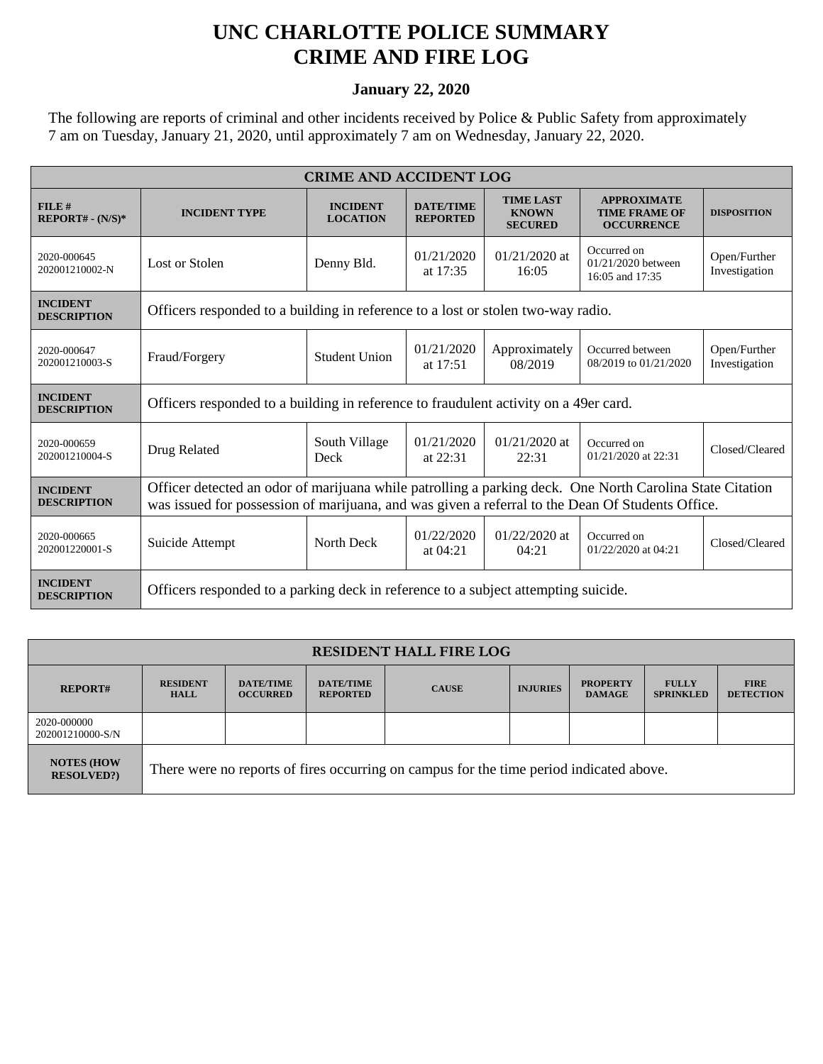## **UNC CHARLOTTE POLICE SUMMARY CRIME AND FIRE LOG**

## **January 22, 2020**

The following are reports of criminal and other incidents received by Police & Public Safety from approximately 7 am on Tuesday, January 21, 2020, until approximately 7 am on Wednesday, January 22, 2020.

| <b>CRIME AND ACCIDENT LOG</b>         |                                                                                                                                                                                                              |                                    |                                     |                                                    |                                                                 |                               |  |
|---------------------------------------|--------------------------------------------------------------------------------------------------------------------------------------------------------------------------------------------------------------|------------------------------------|-------------------------------------|----------------------------------------------------|-----------------------------------------------------------------|-------------------------------|--|
| FILE#<br>$REPORT# - (N/S)*$           | <b>INCIDENT TYPE</b>                                                                                                                                                                                         | <b>INCIDENT</b><br><b>LOCATION</b> | <b>DATE/TIME</b><br><b>REPORTED</b> | <b>TIME LAST</b><br><b>KNOWN</b><br><b>SECURED</b> | <b>APPROXIMATE</b><br><b>TIME FRAME OF</b><br><b>OCCURRENCE</b> | <b>DISPOSITION</b>            |  |
| 2020-000645<br>202001210002-N         | Lost or Stolen                                                                                                                                                                                               | Denny Bld.                         | 01/21/2020<br>at 17:35              | $01/21/2020$ at<br>16:05                           | Occurred on<br>01/21/2020 between<br>16:05 and 17:35            | Open/Further<br>Investigation |  |
| <b>INCIDENT</b><br><b>DESCRIPTION</b> | Officers responded to a building in reference to a lost or stolen two-way radio.                                                                                                                             |                                    |                                     |                                                    |                                                                 |                               |  |
| 2020-000647<br>202001210003-S         | Fraud/Forgery                                                                                                                                                                                                | <b>Student Union</b>               | 01/21/2020<br>at $17:51$            | Approximately<br>08/2019                           | Occurred between<br>08/2019 to 01/21/2020                       | Open/Further<br>Investigation |  |
| <b>INCIDENT</b><br><b>DESCRIPTION</b> | Officers responded to a building in reference to fraudulent activity on a 49er card.                                                                                                                         |                                    |                                     |                                                    |                                                                 |                               |  |
| 2020-000659<br>202001210004-S         | Drug Related                                                                                                                                                                                                 | South Village<br>Deck              | 01/21/2020<br>at $22:31$            | $01/21/2020$ at<br>22:31                           | Occurred on<br>01/21/2020 at 22:31                              | Closed/Cleared                |  |
| <b>INCIDENT</b><br><b>DESCRIPTION</b> | Officer detected an odor of marijuana while patrolling a parking deck. One North Carolina State Citation<br>was issued for possession of marijuana, and was given a referral to the Dean Of Students Office. |                                    |                                     |                                                    |                                                                 |                               |  |
| 2020-000665<br>202001220001-S         | Suicide Attempt                                                                                                                                                                                              | North Deck                         | 01/22/2020<br>at $04:21$            | $01/22/2020$ at<br>04:21                           | Occurred on<br>01/22/2020 at 04:21                              | Closed/Cleared                |  |
| <b>INCIDENT</b><br><b>DESCRIPTION</b> | Officers responded to a parking deck in reference to a subject attempting suicide.                                                                                                                           |                                    |                                     |                                                    |                                                                 |                               |  |

| <b>RESIDENT HALL FIRE LOG</b>          |                                                                                         |                                     |                                     |              |                 |                                  |                                  |                                 |
|----------------------------------------|-----------------------------------------------------------------------------------------|-------------------------------------|-------------------------------------|--------------|-----------------|----------------------------------|----------------------------------|---------------------------------|
| <b>REPORT#</b>                         | <b>RESIDENT</b><br><b>HALL</b>                                                          | <b>DATE/TIME</b><br><b>OCCURRED</b> | <b>DATE/TIME</b><br><b>REPORTED</b> | <b>CAUSE</b> | <b>INJURIES</b> | <b>PROPERTY</b><br><b>DAMAGE</b> | <b>FULLY</b><br><b>SPRINKLED</b> | <b>FIRE</b><br><b>DETECTION</b> |
| 2020-000000<br>202001210000-S/N        |                                                                                         |                                     |                                     |              |                 |                                  |                                  |                                 |
| <b>NOTES (HOW</b><br><b>RESOLVED?)</b> | There were no reports of fires occurring on campus for the time period indicated above. |                                     |                                     |              |                 |                                  |                                  |                                 |